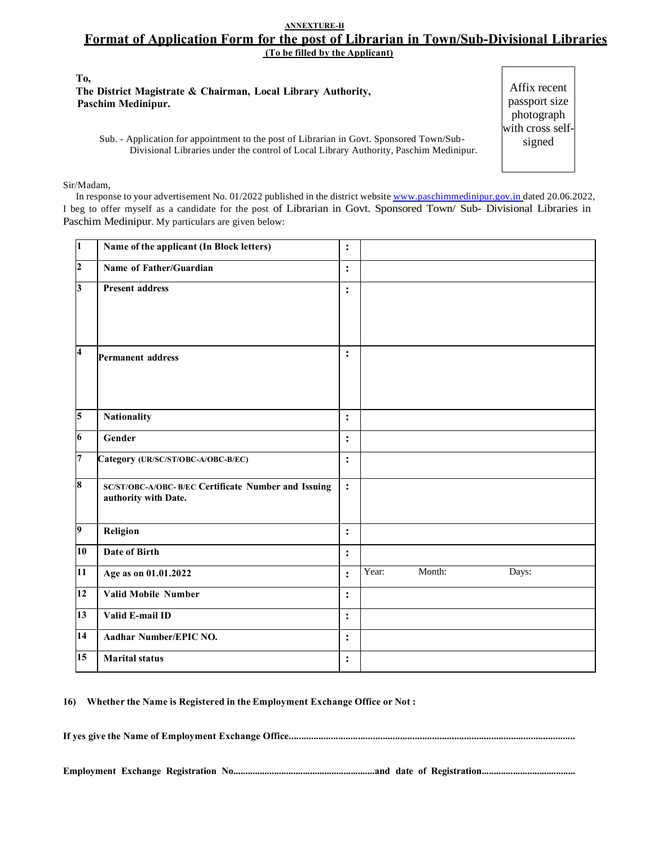## **ANNEXTURE-II Format of Application Form for the post of Librarian in Town/Sub-Divisional Libraries (To be filled by the Applicant)**

**To, The District Magistrate & Chairman, Local Library Authority, Paschim Medinipur.**

Sub. - Application for appointment to the post of Librarian in Govt. Sponsored Town/Sub-Divisional Libraries under the control of Local Library Authority, Paschim Medinipur.

#### Sir/Madam,

In response to your advertisement No. 01/2022 published in the district website www.paschimmedinipur.gov.in dated 20.06.2022, I beg to offer myself as a candidate for the post of Librarian in Govt. Sponsored Town/ Sub- Divisional Libraries in Paschim Medinipur. My particulars are given below:

| $\overline{1}$          | Name of the applicant (In Block letters)                                     | $\ddot{\cdot}$ |       |        |       |
|-------------------------|------------------------------------------------------------------------------|----------------|-------|--------|-------|
| $\overline{2}$          | Name of Father/Guardian                                                      | $\ddot{\cdot}$ |       |        |       |
| $\vert$ 3               | <b>Present address</b>                                                       | $\ddot{\cdot}$ |       |        |       |
| $\overline{\mathbf{4}}$ | Permanent address                                                            | $\ddot{\cdot}$ |       |        |       |
| $\overline{5}$          | Nationality                                                                  | $\ddot{\cdot}$ |       |        |       |
| $\boldsymbol{6}$        | Gender                                                                       | $\ddot{\cdot}$ |       |        |       |
| $\overline{7}$          | Category (UR/SC/ST/OBC-A/OBC-B/EC)                                           | $\ddot{\cdot}$ |       |        |       |
| $\overline{\mathbf{8}}$ | SC/ST/OBC-A/OBC- B/EC Certificate Number and Issuing<br>authority with Date. | $\ddot{\cdot}$ |       |        |       |
| $\overline{9}$          | Religion                                                                     | $\ddot{\cdot}$ |       |        |       |
| 10                      | <b>Date of Birth</b>                                                         | $\ddot{\cdot}$ |       |        |       |
| 11                      | Age as on 01.01.2022                                                         | $\ddot{\cdot}$ | Year: | Month: | Days: |
| 12                      | <b>Valid Mobile Number</b>                                                   | $\ddot{\cdot}$ |       |        |       |
| 13                      | Valid E-mail ID                                                              | $\ddot{\cdot}$ |       |        |       |
| 14                      | Aadhar Number/EPIC NO.                                                       | $\ddot{\cdot}$ |       |        |       |
| 15                      | <b>Marital status</b>                                                        | $\ddot{\cdot}$ |       |        |       |

**16) Whether the Name is Registered in the Employment Exchange Office or Not :**

**If yes give the Name of Employment Exchange Office....................................................................................................................**

**Employment Exchange Registration No...........................................................and date of Registration.......................................**

Affix recent passport size photograph with cross selfsigned